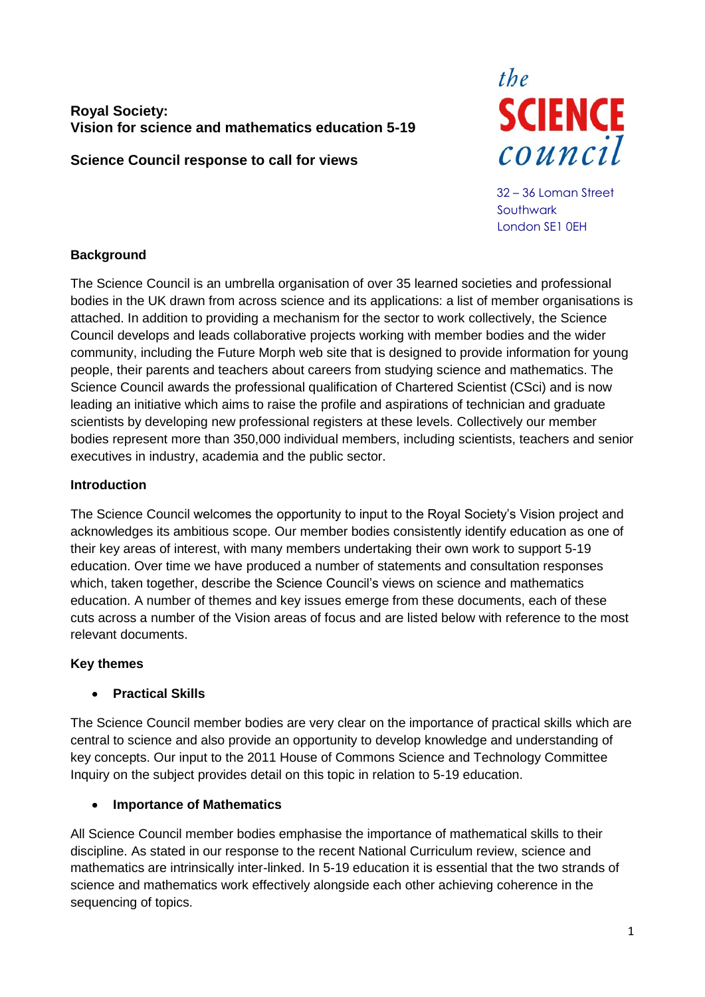# **Royal Society: Vision for science and mathematics education 5-19**

**Science Council response to call for views**



32 – 36 Loman Street Southwark London SE1 0EH

# **Background**

The Science Council is an umbrella organisation of over 35 learned societies and professional bodies in the UK drawn from across science and its applications: a list of member organisations is attached. In addition to providing a mechanism for the sector to work collectively, the Science Council develops and leads collaborative projects working with member bodies and the wider community, including the Future Morph web site that is designed to provide information for young people, their parents and teachers about careers from studying science and mathematics. The Science Council awards the professional qualification of Chartered Scientist (CSci) and is now leading an initiative which aims to raise the profile and aspirations of technician and graduate scientists by developing new professional registers at these levels. Collectively our member bodies represent more than 350,000 individual members, including scientists, teachers and senior executives in industry, academia and the public sector.

# **Introduction**

The Science Council welcomes the opportunity to input to the Royal Society's Vision project and acknowledges its ambitious scope. Our member bodies consistently identify education as one of their key areas of interest, with many members undertaking their own work to support 5-19 education. Over time we have produced a number of statements and consultation responses which, taken together, describe the Science Council's views on science and mathematics education. A number of themes and key issues emerge from these documents, each of these cuts across a number of the Vision areas of focus and are listed below with reference to the most relevant documents.

# **Key themes**

### **Practical Skills**  $\blacksquare$

The Science Council member bodies are very clear on the importance of practical skills which are central to science and also provide an opportunity to develop knowledge and understanding of key concepts. Our input to the 2011 House of Commons Science and Technology Committee Inquiry on the subject provides detail on this topic in relation to 5-19 education.

# **Importance of Mathematics**

All Science Council member bodies emphasise the importance of mathematical skills to their discipline. As stated in our response to the recent National Curriculum review, science and mathematics are intrinsically inter-linked. In 5-19 education it is essential that the two strands of science and mathematics work effectively alongside each other achieving coherence in the sequencing of topics.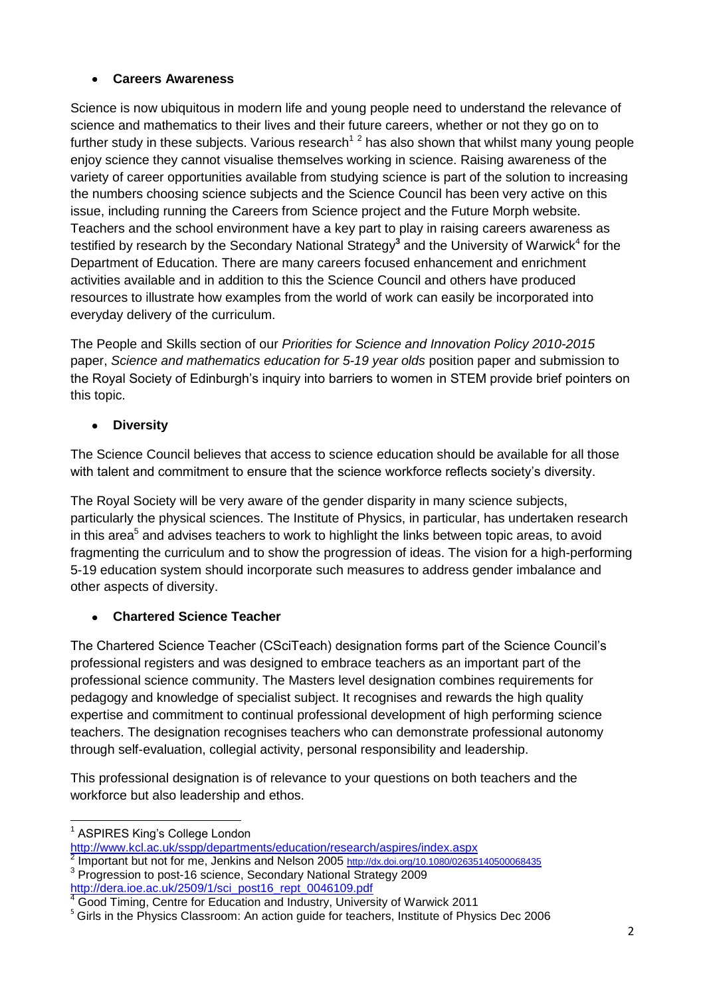# **Careers Awareness**

Science is now ubiquitous in modern life and young people need to understand the relevance of science and mathematics to their lives and their future careers, whether or not they go on to further study in these subjects. Various research<sup>12</sup> has also shown that whilst many young people enjoy science they cannot visualise themselves working in science. Raising awareness of the variety of career opportunities available from studying science is part of the solution to increasing the numbers choosing science subjects and the Science Council has been very active on this issue, including running the Careers from Science project and the Future Morph website. Teachers and the school environment have a key part to play in raising careers awareness as testified by research by the Secondary National Strategy<sup>3</sup> and the University of Warwick<sup>4</sup> for the Department of Education. There are many careers focused enhancement and enrichment activities available and in addition to this the Science Council and others have produced resources to illustrate how examples from the world of work can easily be incorporated into everyday delivery of the curriculum.

The People and Skills section of our *Priorities for Science and Innovation Policy 2010-2015* paper, *Science and mathematics education for 5-19 year olds* position paper and submission to the Royal Society of Edinburgh's inquiry into barriers to women in STEM provide brief pointers on this topic.

# **Diversity**

The Science Council believes that access to science education should be available for all those with talent and commitment to ensure that the science workforce reflects society's diversity.

The Royal Society will be very aware of the gender disparity in many science subjects, particularly the physical sciences. The Institute of Physics, in particular, has undertaken research in this area<sup>5</sup> and advises teachers to work to highlight the links between topic areas, to avoid fragmenting the curriculum and to show the progression of ideas. The vision for a high-performing 5-19 education system should incorporate such measures to address gender imbalance and other aspects of diversity.

# **Chartered Science Teacher**

The Chartered Science Teacher (CSciTeach) designation forms part of the Science Council's professional registers and was designed to embrace teachers as an important part of the professional science community. The Masters level designation combines requirements for pedagogy and knowledge of specialist subject. It recognises and rewards the high quality expertise and commitment to continual professional development of high performing science teachers. The designation recognises teachers who can demonstrate professional autonomy through self-evaluation, collegial activity, personal responsibility and leadership.

This professional designation is of relevance to your questions on both teachers and the workforce but also leadership and ethos.

[http://dera.ioe.ac.uk/2509/1/sci\\_post16\\_rept\\_0046109.pdf](http://dera.ioe.ac.uk/2509/1/sci_post16_rept_0046109.pdf)

 $\overline{a}$ 1 ASPIRES King's College London

<http://www.kcl.ac.uk/sspp/departments/education/research/aspires/index.aspx>

<sup>2</sup> Important but not for me, Jenkins and Nelson 2005 <http://dx.doi.org/10.1080/02635140500068435> <sup>3</sup> Progression to post-16 science, Secondary National Strategy 2009

**IRD MURRICH COOLD TREASED TO A THE REPORT OF THE REAST OF THE 4** Good Timing, Centre for Education and Industry, University of Warwick 2011

<sup>&</sup>lt;sup>5</sup> Girls in the Physics Classroom: An action guide for teachers, Institute of Physics Dec 2006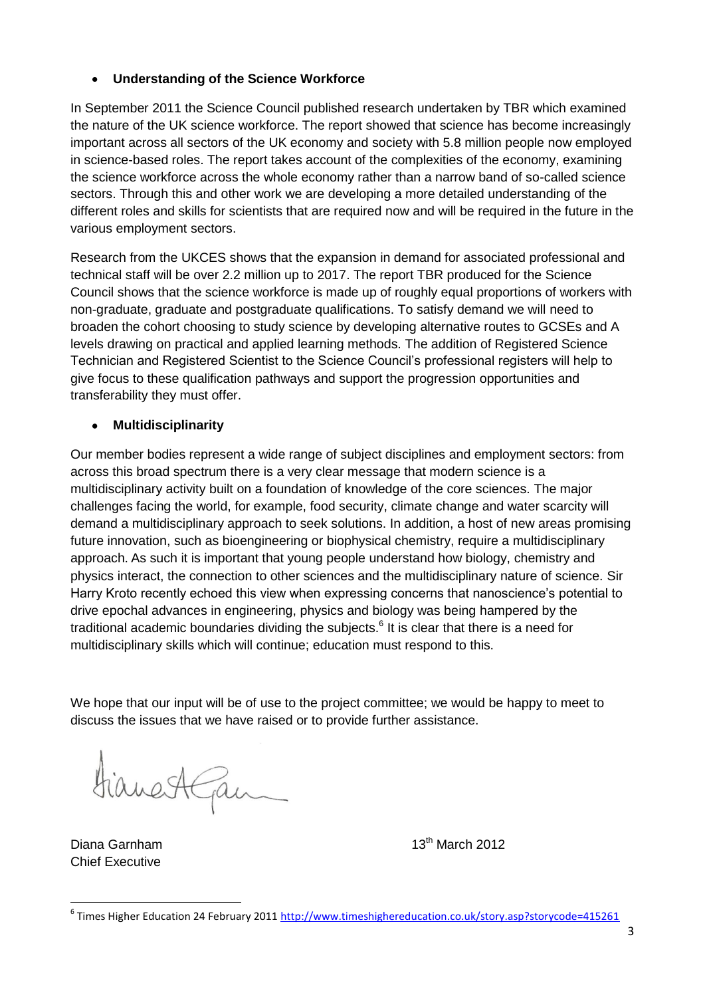#### **Understanding of the Science Workforce**  $\bullet$

In September 2011 the Science Council published research undertaken by TBR which examined the nature of the UK science workforce. The report showed that science has become increasingly important across all sectors of the UK economy and society with 5.8 million people now employed in science-based roles. The report takes account of the complexities of the economy, examining the science workforce across the whole economy rather than a narrow band of so-called science sectors. Through this and other work we are developing a more detailed understanding of the different roles and skills for scientists that are required now and will be required in the future in the various employment sectors.

Research from the UKCES shows that the expansion in demand for associated professional and technical staff will be over 2.2 million up to 2017. The report TBR produced for the Science Council shows that the science workforce is made up of roughly equal proportions of workers with non-graduate, graduate and postgraduate qualifications. To satisfy demand we will need to broaden the cohort choosing to study science by developing alternative routes to GCSEs and A levels drawing on practical and applied learning methods. The addition of Registered Science Technician and Registered Scientist to the Science Council's professional registers will help to give focus to these qualification pathways and support the progression opportunities and transferability they must offer.

# **Multidisciplinarity**

Our member bodies represent a wide range of subject disciplines and employment sectors: from across this broad spectrum there is a very clear message that modern science is a multidisciplinary activity built on a foundation of knowledge of the core sciences. The major challenges facing the world, for example, food security, climate change and water scarcity will demand a multidisciplinary approach to seek solutions. In addition, a host of new areas promising future innovation, such as bioengineering or biophysical chemistry, require a multidisciplinary approach. As such it is important that young people understand how biology, chemistry and physics interact, the connection to other sciences and the multidisciplinary nature of science. Sir Harry Kroto recently echoed this view when expressing concerns that nanoscience's potential to drive epochal advances in engineering, physics and biology was being hampered by the traditional academic boundaries dividing the subjects.<sup>6</sup> It is clear that there is a need for multidisciplinary skills which will continue; education must respond to this.

We hope that our input will be of use to the project committee; we would be happy to meet to discuss the issues that we have raised or to provide further assistance.

rianestGam

Diana Garnham Chief Executive

 $\overline{a}$ 

 $13<sup>th</sup>$  March 2012

<sup>&</sup>lt;sup>6</sup> Times Higher Education 24 February 2011 <http://www.timeshighereducation.co.uk/story.asp?storycode=415261>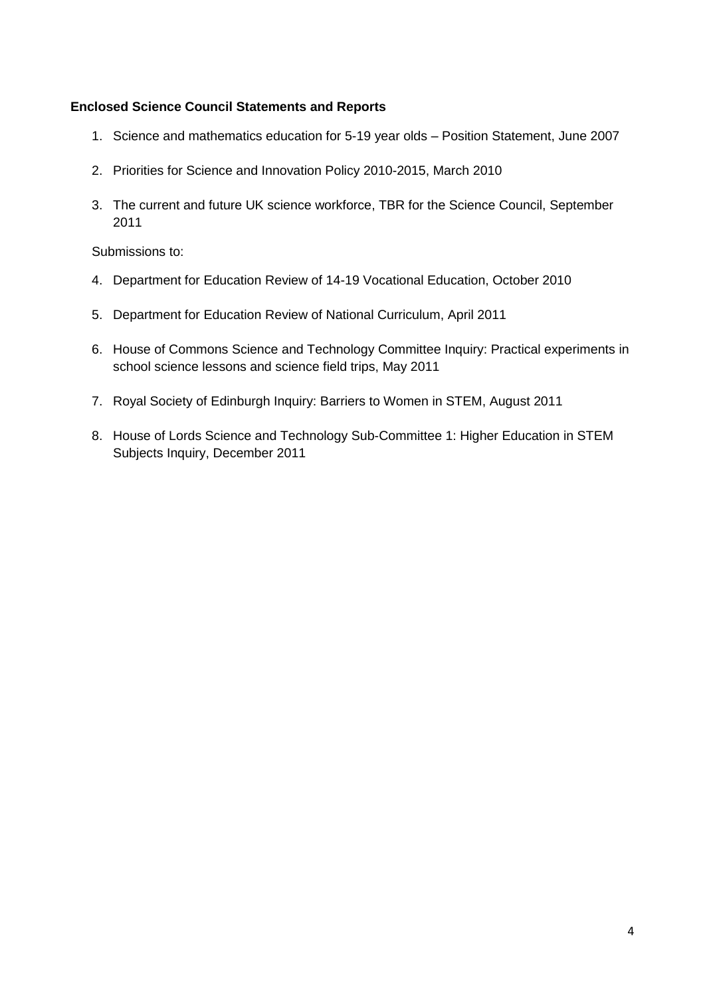## **Enclosed Science Council Statements and Reports**

- 1. Science and mathematics education for 5-19 year olds Position Statement, June 2007
- 2. Priorities for Science and Innovation Policy 2010-2015, March 2010
- 3. The current and future UK science workforce, TBR for the Science Council, September 2011

Submissions to:

- 4. Department for Education Review of 14-19 Vocational Education, October 2010
- 5. Department for Education Review of National Curriculum, April 2011
- 6. House of Commons Science and Technology Committee Inquiry: Practical experiments in school science lessons and science field trips, May 2011
- 7. Royal Society of Edinburgh Inquiry: Barriers to Women in STEM, August 2011
- 8. House of Lords Science and Technology Sub-Committee 1: Higher Education in STEM Subjects Inquiry, December 2011